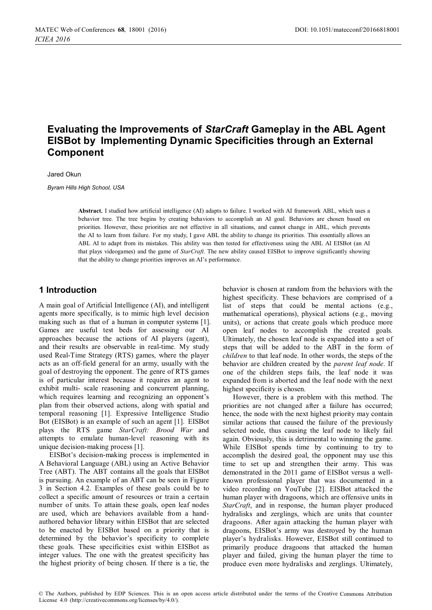# **Evaluating the Improvements of** *StarCraft* **Gameplay in the ABL Agent EISBot by Implementing Dynamic Specificities through an External Component**

Jared Okun

*Byram Hills High School, USA* 

**Abstract.** I studied how artificial intelligence (AI) adapts to failure. I worked with AI framework ABL, which uses a behavior tree. The tree begins by creating behaviors to accomplish an AI goal. Behaviors are chosen based on priorities. However, these priorities are not effective in all situations, and cannot change in ABL, which prevents the AI to learn from failure. For my study, I gave ABL the ability to change its priorities. This essentially allows an ABL AI to adapt from its mistakes. This ability was then tested for effectiveness using the ABL AI EISBot (an AI that plays videogames) and the game of *StarCraft*. The new ability caused EISBot to improve significantly showing that the ability to change priorities improves an AI's performance.

### **1 Introduction**

A main goal of Artificial Intelligence (AI), and intelligent agents more specifically, is to mimic high level decision making such as that of a human in computer systems [1]. Games are useful test beds for assessing our AI approaches because the actions of AI players (agent), and their results are observable in real-time. My study used Real-Time Strategy (RTS) games, where the player acts as an off-field general for an army, usually with the goal of destroying the opponent. The genre of RTS games is of particular interest because it requires an agent to exhibit multi- scale reasoning and concurrent planning, which requires learning and recognizing an opponent's plan from their observed actions, along with spatial and temporal reasoning [1]. Expressive Intelligence Studio Bot (EISBot) is an example of such an agent [1]. EISBot plays the RTS game *StarCraft: Brood War* and attempts to emulate human-level reasoning with its unique decision-making process [1].

EISBot's decision-making process is implemented in A Behavioral Language (ABL) using an Active Behavior Tree (ABT). The ABT contains all the goals that EISBot is pursuing. An example of an ABT can be seen in Figure 3 in Section 4.2. Examples of these goals could be to collect a specific amount of resources or train a certain number of units. To attain these goals, open leaf nodes are used, which are behaviors available from a handauthored behavior library within EISBot that are selected to be enacted by EISBot based on a priority that is determined by the behavior's specificity to complete these goals. These specificities exist within EISBot as integer values. The one with the greatest specificity has the highest priority of being chosen. If there is a tie, the behavior is chosen at random from the behaviors with the highest specificity. These behaviors are comprised of a list of steps that could be mental actions (e.g., mathematical operations), physical actions (e.g., moving units), or actions that create goals which produce more open leaf nodes to accomplish the created goals. Ultimately, the chosen leaf node is expanded into a set of steps that will be added to the ABT in the form of *children* to that leaf node. In other words, the steps of the behavior are children created by the *parent leaf node*. If one of the children steps fails, the leaf node it was expanded from is aborted and the leaf node with the next highest specificity is chosen.

However, there is a problem with this method. The priorities are not changed after a failure has occurred; hence, the node with the next highest priority may contain similar actions that caused the failure of the previously selected node, thus causing the leaf node to likely fail again. Obviously, this is detrimental to winning the game. While EISBot spends time by continuing to try to accomplish the desired goal, the opponent may use this time to set up and strengthen their army. This was demonstrated in the 2011 game of EISBot versus a wellknown professional player that was documented in a video recording on YouTube [2]. EISBot attacked the human player with dragoons, which are offensive units in *StarCraft*, and in response, the human player produced hydralisks and zerglings, which are units that counter dragoons. After again attacking the human player with dragoons, EISBot's army was destroyed by the human player's hydralisks. However, EISBot still continued to primarily produce dragoons that attacked the human player and failed, giving the human player the time to produce even more hydralisks and zerglings. Ultimately,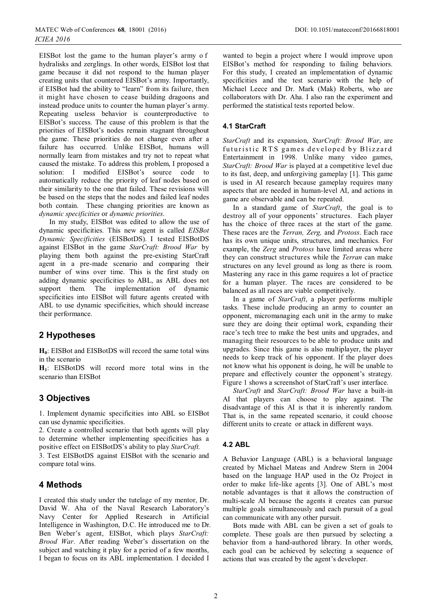EISBot lost the game to the human player's army o f hydralisks and zerglings. In other words, EISBot lost that game because it did not respond to the human player creating units that countered EISBot's army. Importantly, if EISBot had the ability to "learn" from its failure, then it might have chosen to cease building dragoons and instead produce units to counter the human player's army. Repeating useless behavior is counterproductive to EISBot's success. The cause of this problem is that the priorities of EISBot's nodes remain stagnant throughout the game. These priorities do not change even after a failure has occurred. Unlike EISBot, humans will normally learn from mistakes and try not to repeat what caused the mistake. To address this problem, I proposed a solution: I modified EISBot's source code to automatically reduce the priority of leaf nodes based on their similarity to the one that failed. These revisions will be based on the steps that the nodes and failed leaf nodes both contain. These changing priorities are known as *dynamic specificities* or *dynamic priorities*.

In my study, EISBot was edited to allow the use of dynamic specificities. This new agent is called *EISBot Dynamic Specificities* (EISBotDS). I tested EISBotDS against EISBot in the game *StarCraft: Brood War* by playing them both against the pre-existing StarCraft agent in a pre-made scenario and comparing their number of wins over time. This is the first study on adding dynamic specificities to ABL, as ABL does not support them. The implementation of dynamic specificities into EISBot will future agents created with ABL to use dynamic specificities, which should increase their performance.

## **2 Hypotheses**

**H<sub>0</sub>**: EISBot and EISBotDS will record the same total wins in the scenario

**H1**: EISBotDS will record more total wins in the scenario than EISBot

## **3 Objectives**

1. Implement dynamic specificities into ABL so EISBot can use dynamic specificities.

2. Create a controlled scenario that both agents will play to determine whether implementing specificities has a positive effect on EISBotDS's ability to play *StarCraft.*

3. Test EISBotDS against EISBot with the scenario and compare total wins.

## **4 Methods**

I created this study under the tutelage of my mentor, Dr. David W. Aha of the Naval Research Laboratory's Navy Center for Applied Research in Artificial Intelligence in Washington, D.C. He introduced me to Dr. Ben Weber's agent, EISBot, which plays *StarCraft: Brood War*. After reading Weber's dissertation on the subject and watching it play for a period of a few months, I began to focus on its ABL implementation. I decided I

wanted to begin a project where I would improve upon EISBot's method for responding to failing behaviors. For this study, I created an implementation of dynamic specificities and the test scenario with the help of Michael Leece and Dr. Mark (Mak) Roberts, who are collaborators with Dr. Aha. I also ran the experiment and performed the statistical tests reported below.

### **4.1 StarCraft**

*StarCraft* and its expansion, *StarCraft: Brood War*, are futuristic RTS games developed by Blizzard Entertainment in 1998. Unlike many video games, *StarCraft: Brood War* is played at a competitive level due to its fast, deep, and unforgiving gameplay [1]. This game is used in AI research because gameplay requires many aspects that are needed in human-level AI, and actions in game are observable and can be repeated.

In a standard game of *StarCraft*, the goal is to destroy all of your opponents' structures. Each player has the choice of three races at the start of the game. These races are the *Terran, Zerg,* and *Protoss*. Each race has its own unique units, structures, and mechanics. For example, the *Zerg* and *Protoss* have limited areas where they can construct structures while the *Terran* can make structures on any level ground as long as there is room. Mastering any race in this game requires a lot of practice for a human player. The races are considered to be balanced as all races are viable competitively.

In a game of *StarCraft*, a player performs multiple tasks. These include producing an army to counter an opponent, micromanaging each unit in the army to make sure they are doing their optimal work, expanding their race's tech tree to make the best units and upgrades, and managing their resources to be able to produce units and upgrades. Since this game is also multiplayer, the player needs to keep track of his opponent. If the player does not know what his opponent is doing, he will be unable to prepare and effectively counter the opponent's strategy. Figure 1 shows a screenshot of StarCraft's user interface.

*StarCraft* and *StarCraft: Brood War* have a built-in AI that players can choose to play against. The disadvantage of this AI is that it is inherently random. That is, in the same repeated scenario, it could choose different units to create or attack in different ways.

### **4.2 ABL**

A Behavior Language (ABL) is a behavioral language created by Michael Mateas and Andrew Stern in 2004 based on the language HAP used in the Oz Project in order to make life-like agents [3]. One of ABL's most notable advantages is that it allows the construction of multi-scale AI because the agents it creates can pursue multiple goals simultaneously and each pursuit of a goal can communicate with any other pursuit.

Bots made with ABL can be given a set of goals to complete. These goals are then pursued by selecting a behavior from a hand-authored library. In other words, each goal can be achieved by selecting a sequence of actions that was created by the agent's developer.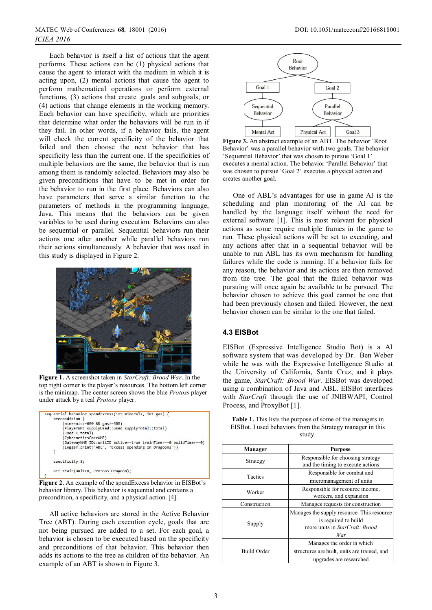Each behavior is itself a list of actions that the agent performs. These actions can be (1) physical actions that cause the agent to interact with the medium in which it is acting upon, (2) mental actions that cause the agent to perform mathematical operations or perform external functions, (3) actions that create goals and subgoals, or (4) actions that change elements in the working memory. Each behavior can have specificity, which are priorities that determine what order the behaviors will be run in if they fail. In other words, if a behavior fails, the agent will check the current specificity of the behavior that failed and then choose the next behavior that has specificity less than the current one. If the specificities of multiple behaviors are the same, the behavior that is run among them is randomly selected. Behaviors may also be given preconditions that have to be met in order for the behavior to run in the first place. Behaviors can also have parameters that serve a similar function to the parameters of methods in the programming language, Java. This means that the behaviors can be given variables to be used during execution. Behaviors can also be sequential or parallel. Sequential behaviors run their actions one after another while parallel behaviors run their actions simultaneously. A behavior that was used in this study is displayed in Figure 2.



**Figure 1.** A screenshot taken in *StarCraft: Brood War*. In the top right corner is the player's resources. The bottom left corner is the minimap. The center screen shows the blue *Protoss* player under attack by a teal *Protoss* player.



**Figure 2.** An example of the spendExcess behavior in EISBot's behavior library. This behavior is sequential and contains a precondition, a specificity, and a physical action. [4].

All active behaviors are stored in the Active Behavior Tree (ABT). During each execution cycle, goals that are not being pursued are added to a set. For each goal, a behavior is chosen to be executed based on the specificity and preconditions of that behavior. This behavior then adds its actions to the tree as children of the behavior. An example of an ABT is shown in Figure 3.



**Figure 3.** An abstract example of an ABT. The behavior 'Root Behavior' was a parallel behavior with two goals. The behavior 'Sequential Behavior' that was chosen to pursue 'Goal 1' executes a mental action. The behavior 'Parallel Behavior' that was chosen to pursue 'Goal 2' executes a physical action and creates another goal.

One of ABL's advantages for use in game AI is the scheduling and plan monitoring of the AI can be handled by the language itself without the need for external software [1]. This is most relevant for physical actions as some require multiple frames in the game to run. These physical actions will be set to executing, and any actions after that in a sequential behavior will be unable to run ABL has its own mechanism for handling failures while the code is running. If a behavior fails for any reason, the behavior and its actions are then removed from the tree. The goal that the failed behavior was pursuing will once again be available to be pursued. The behavior chosen to achieve this goal cannot be one that had been previously chosen and failed. However, the next behavior chosen can be similar to the one that failed.

#### **4.3 EISBot**

EISBot (Expressive Intelligence Studio Bot) is a AI software system that was developed by Dr. Ben Weber while he was with the Expressive Intelligence Studio at the University of California, Santa Cruz, and it plays the game, *StarCraft: Brood War*. EISBot was developed using a combination of Java and ABL. EISBot interfaces with *StarCraft* through the use of JNIBWAPI, Control Process, and ProxyBot [1].

| <b>Table 1.</b> This lists the purpose of some of the managers in |
|-------------------------------------------------------------------|
| EISBot. I used behaviors from the Strategy manager in this        |
| studv.                                                            |

| Manager        | <b>Purpose</b>                                                                                              |  |
|----------------|-------------------------------------------------------------------------------------------------------------|--|
| Strategy       | Responsible for choosing strategy<br>and the timing to execute actions                                      |  |
| <b>Tactics</b> | Responsible for combat and<br>micromanagement of units                                                      |  |
| Worker         | Responsible for resource income,<br>workers, and expansion                                                  |  |
| Construction   | Manages requests for construction                                                                           |  |
| Supply         | Manages the supply resource. This resource<br>is required to build<br>more units in StarCraft: Brood<br>War |  |
| Build Order    | Manages the order in which<br>structures are built, units are trained, and<br>upgrades are researched       |  |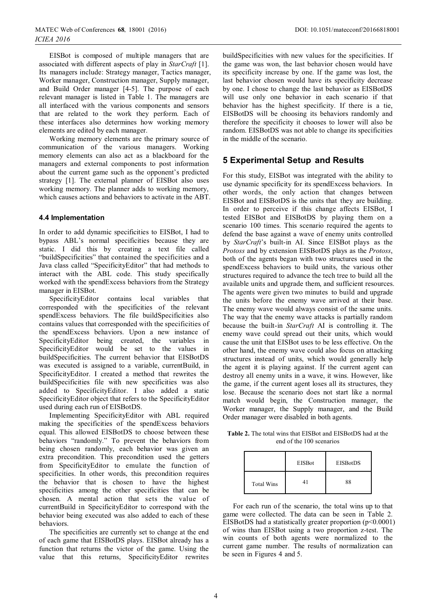EISBot is composed of multiple managers that are associated with different aspects of play in *StarCraft* [1]. Its managers include: Strategy manager, Tactics manager, Worker manager, Construction manager, Supply manager, and Build Order manager [4-5]. The purpose of each relevant manager is listed in Table 1. The managers are all interfaced with the various components and sensors that are related to the work they perform. Each of these interfaces also determines how working memory elements are edited by each manager.

Working memory elements are the primary source of communication of the various managers. Working memory elements can also act as a blackboard for the managers and external components to post information about the current game such as the opponent's predicted strategy [1]. The external planner of EISBot also uses working memory. The planner adds to working memory, which causes actions and behaviors to activate in the ABT.

#### **4.4 Implementation**

In order to add dynamic specificities to EISBot, I had to bypass ABL's normal specificities because they are static. I did this by creating a text file called "buildSpecificities" that contained the specificities and a Java class called "SpecificityEditor" that had methods to interact with the ABL code. This study specifically worked with the spendExcess behaviors from the Strategy manager in EISBot.

SpecificityEditor contains local variables that corresponded with the specificities of the relevant spendExcess behaviors. The file buildSpecificities also contains values that corresponded with the specificities of the spendExcess behaviors. Upon a new instance of SpecificityEditor being created, the variables in SpecificityEditor would be set to the values in buildSpecificities. The current behavior that EISBotDS was executed is assigned to a variable, currentBuild, in SpecificityEditor. I created a method that rewrites the buildSpecificities file with new specificities was also added to SpecificityEditor. I also added a static SpecificityEditor object that refers to the SpecificityEditor used during each run of EISBotDS.

Implementing SpecificityEditor with ABL required making the specificities of the spendExcess behaviors equal. This allowed EISBotDS to choose between these behaviors "randomly." To prevent the behaviors from being chosen randomly, each behavior was given an extra precondition. This precondition used the getters from SpecificityEditor to emulate the function of specificities. In other words, this precondition requires the behavior that is chosen to have the highest specificities among the other specificities that can be chosen. A mental action that sets the value of currentBuild in SpecificityEditor to correspond with the behavior being executed was also added to each of these behaviors.

The specificities are currently set to change at the end of each game that EISBotDS plays. EISBot already has a function that returns the victor of the game. Using the value that this returns, SpecificityEditor rewrites

buildSpecificities with new values for the specificities. If the game was won, the last behavior chosen would have its specificity increase by one. If the game was lost, the last behavior chosen would have its specificity decrease by one. I chose to change the last behavior as EISBotDS will use only one behavior in each scenario if that behavior has the highest specificity. If there is a tie, EISBotDS will be choosing its behaviors randomly and therefore the specificity it chooses to lower will also be random. EISBotDS was not able to change its specificities in the middle of the scenario.

## **5 Experimental Setup and Results**

For this study, EISBot was integrated with the ability to use dynamic specificity for its spendExcess behaviors. In other words, the only action that changes between EISBot and EISBotDS is the units that they are building. In order to perceive if this change affects EISBot, I tested EISBot and EISBotDS by playing them on a scenario 100 times. This scenario required the agents to defend the base against a wave of enemy units controlled by *StarCraft*'s built-in AI. Since EISBot plays as the *Protoss* and by extension EISBotDS plays as the *Protoss*, both of the agents began with two structures used in the spendExcess behaviors to build units, the various other structures required to advance the tech tree to build all the available units and upgrade them, and sufficient resources. The agents were given two minutes to build and upgrade the units before the enemy wave arrived at their base. The enemy wave would always consist of the same units. The way that the enemy wave attacks is partially random because the built-in *StarCraft* AI is controlling it. The enemy wave could spread out their units, which would cause the unit that EISBot uses to be less effective. On the other hand, the enemy wave could also focus on attacking structures instead of units, which would generally help the agent it is playing against. If the current agent can destroy all enemy units in a wave, it wins. However, like the game, if the current agent loses all its structures, they lose. Because the scenario does not start like a normal match would begin, the Construction manager, the Worker manager, the Supply manager, and the Build Order manager were disabled in both agents.

**Table 2.** The total wins that EISBot and EISBotDS had at the end of the 100 scenarios

|                   | <b>EISBot</b> | <b>EISBotDS</b> |
|-------------------|---------------|-----------------|
| <b>Total Wins</b> |               | 88              |

For each run of the scenario, the total wins up to that game were collected. The data can be seen in Table 2. EISBotDS had a statistically greater proportion  $(p<0.0001)$ of wins than EISBot using a two proportion z-test. The win counts of both agents were normalized to the current game number. The results of normalization can be seen in Figures 4 and 5.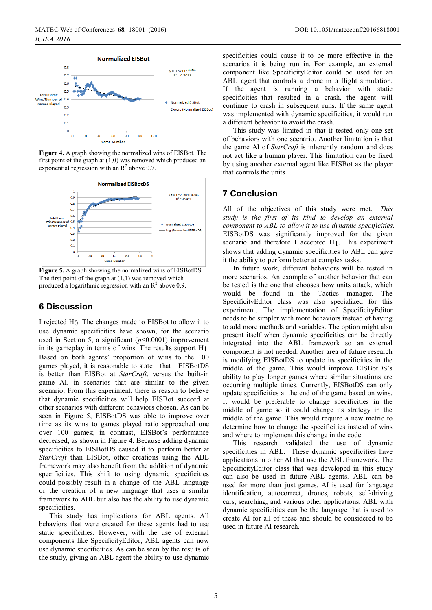

**Figure 4.** A graph showing the normalized wins of EISBot. The first point of the graph at (1,0) was removed which produced an exponential regression with an  $R^2$  above 0.7.



**Figure 5.** A graph showing the normalized wins of EISBotDS. The first point of the graph at  $(1,1)$  was removed which produced a logarithmic regression with an  $\mathbb{R}^2$  above 0.9.

## **6 Discussion**

I rejected H0. The changes made to EISBot to allow it to use dynamic specificities have shown, for the scenario used in Section 5, a significant (*p*<0.0001) improvement in its gameplay in terms of wins. The results support H1. Based on both agents' proportion of wins to the 100 games played, it is reasonable to state that EISBotDS is better than EISBot at *StarCraft*, versus the built-in game AI, in scenarios that are similar to the given scenario. From this experiment, there is reason to believe that dynamic specificities will help EISBot succeed at other scenarios with different behaviors chosen. As can be seen in Figure 5, EISBotDS was able to improve over time as its wins to games played ratio approached one over 100 games; in contrast, EISBot's performance decreased, as shown in Figure 4. Because adding dynamic specificities to EISBotDS caused it to perform better at *StarCraft* than EISBot, other creations using the ABL framework may also benefit from the addition of dynamic specificities. This shift to using dynamic specificities could possibly result in a change of the ABL language or the creation of a new language that uses a similar framework to ABL but also has the ability to use dynamic specificities.

This study has implications for ABL agents. All behaviors that were created for these agents had to use static specificities. However, with the use of external components like SpecificityEditor, ABL agents can now use dynamic specificities. As can be seen by the results of the study, giving an ABL agent the ability to use dynamic

specificities could cause it to be more effective in the scenarios it is being run in. For example, an external component like SpecificityEditor could be used for an ABL agent that controls a drone in a flight simulation. If the agent is running a behavior with static specificities that resulted in a crash, the agent will continue to crash in subsequent runs. If the same agent was implemented with dynamic specificities, it would run a different behavior to avoid the crash.

This study was limited in that it tested only one set of behaviors with one scenario. Another limitation is that the game AI of *StarCraft* is inherently random and does not act like a human player. This limitation can be fixed by using another external agent like EISBot as the player that controls the units.

#### **7 Conclusion**

All of the objectives of this study were met. *This study is the first of its kind to develop an external component to ABL to allow it to use dynamic specificities*. EISBotDS was significantly improved for the given scenario and therefore I accepted H1. This experiment shows that adding dynamic specificities to ABL can give it the ability to perform better at complex tasks.

In future work, different behaviors will be tested in more scenarios. An example of another behavior that can be tested is the one that chooses how units attack, which would be found in the Tactics manager. The SpecificityEditor class was also specialized for this experiment. The implementation of SpecificityEditor needs to be simpler with more behaviors instead of having to add more methods and variables. The option might also present itself when dynamic specificities can be directly integrated into the ABL framework so an external component is not needed. Another area of future research is modifying EISBotDS to update its specificities in the middle of the game. This would improve EISBotDS's ability to play longer games where similar situations are occurring multiple times. Currently, EISBotDS can only update specificities at the end of the game based on wins. It would be preferable to change specificities in the middle of game so it could change its strategy in the middle of the game. This would require a new metric to determine how to change the specificities instead of wins and where to implement this change in the code.

This research validated the use of dynamic specificities in ABL. These dynamic specificities have applications in other AI that use the ABL framework. The SpecificityEditor class that was developed in this study can also be used in future ABL agents. ABL can be used for more than just games. AI is used for language identification, autocorrect, drones, robots, self-driving cars, searching, and various other applications. ABL with dynamic specificities can be the language that is used to create AI for all of these and should be considered to be used in future AI research.